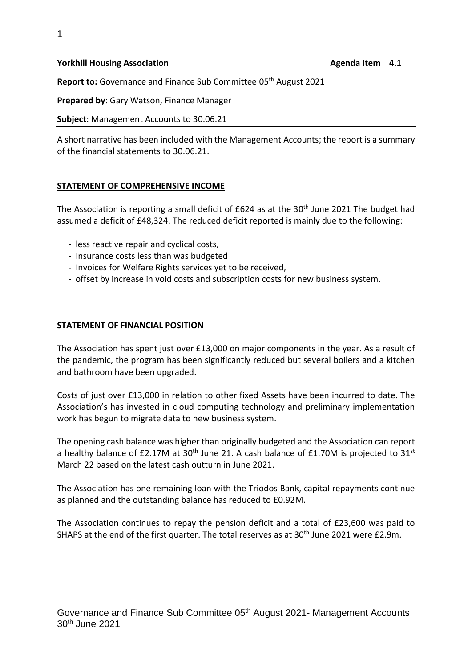#### **Yorkhill Housing Association Agenda Item 4.1 Agenda Item 4.1**

Report to: Governance and Finance Sub Committee 05<sup>th</sup> August 2021

**Prepared by**: Gary Watson, Finance Manager

**Subject**: Management Accounts to 30.06.21

A short narrative has been included with the Management Accounts; the report is a summary of the financial statements to 30.06.21.

### **STATEMENT OF COMPREHENSIVE INCOME**

The Association is reporting a small deficit of £624 as at the 30<sup>th</sup> June 2021 The budget had assumed a deficit of £48,324. The reduced deficit reported is mainly due to the following:

- less reactive repair and cyclical costs,
- Insurance costs less than was budgeted
- Invoices for Welfare Rights services yet to be received,
- offset by increase in void costs and subscription costs for new business system.

#### **STATEMENT OF FINANCIAL POSITION**

The Association has spent just over £13,000 on major components in the year. As a result of the pandemic, the program has been significantly reduced but several boilers and a kitchen and bathroom have been upgraded.

Costs of just over £13,000 in relation to other fixed Assets have been incurred to date. The Association's has invested in cloud computing technology and preliminary implementation work has begun to migrate data to new business system.

The opening cash balance was higher than originally budgeted and the Association can report a healthy balance of £2.17M at 30<sup>th</sup> June 21. A cash balance of £1.70M is projected to 31<sup>st</sup> March 22 based on the latest cash outturn in June 2021.

The Association has one remaining loan with the Triodos Bank, capital repayments continue as planned and the outstanding balance has reduced to £0.92M.

The Association continues to repay the pension deficit and a total of £23,600 was paid to SHAPS at the end of the first quarter. The total reserves as at 30<sup>th</sup> June 2021 were £2.9m.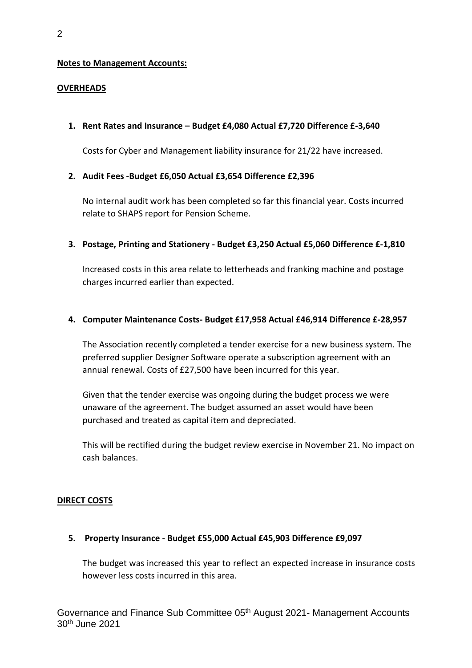### **Notes to Management Accounts:**

### **OVERHEADS**

### **1. Rent Rates and Insurance – Budget £4,080 Actual £7,720 Difference £-3,640**

Costs for Cyber and Management liability insurance for 21/22 have increased.

# **2. Audit Fees -Budget £6,050 Actual £3,654 Difference £2,396**

No internal audit work has been completed so far this financial year. Costs incurred relate to SHAPS report for Pension Scheme.

# **3. Postage, Printing and Stationery - Budget £3,250 Actual £5,060 Difference £-1,810**

Increased costs in this area relate to letterheads and franking machine and postage charges incurred earlier than expected.

# **4. Computer Maintenance Costs- Budget £17,958 Actual £46,914 Difference £-28,957**

The Association recently completed a tender exercise for a new business system. The preferred supplier Designer Software operate a subscription agreement with an annual renewal. Costs of £27,500 have been incurred for this year.

Given that the tender exercise was ongoing during the budget process we were unaware of the agreement. The budget assumed an asset would have been purchased and treated as capital item and depreciated.

This will be rectified during the budget review exercise in November 21. No impact on cash balances.

### **DIRECT COSTS**

### **5. Property Insurance - Budget £55,000 Actual £45,903 Difference £9,097**

The budget was increased this year to reflect an expected increase in insurance costs however less costs incurred in this area.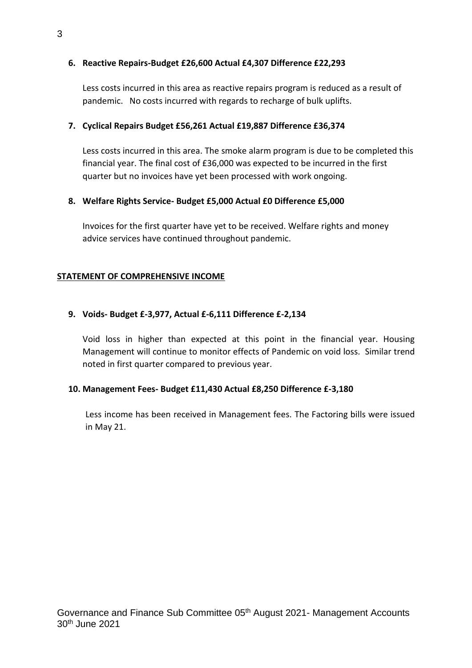# **6. Reactive Repairs-Budget £26,600 Actual £4,307 Difference £22,293**

Less costs incurred in this area as reactive repairs program is reduced as a result of pandemic. No costs incurred with regards to recharge of bulk uplifts.

# **7. Cyclical Repairs Budget £56,261 Actual £19,887 Difference £36,374**

Less costs incurred in this area. The smoke alarm program is due to be completed this financial year. The final cost of £36,000 was expected to be incurred in the first quarter but no invoices have yet been processed with work ongoing.

# **8. Welfare Rights Service- Budget £5,000 Actual £0 Difference £5,000**

Invoices for the first quarter have yet to be received. Welfare rights and money advice services have continued throughout pandemic.

### **STATEMENT OF COMPREHENSIVE INCOME**

# **9. Voids- Budget £-3,977, Actual £-6,111 Difference £-2,134**

Void loss in higher than expected at this point in the financial year. Housing Management will continue to monitor effects of Pandemic on void loss. Similar trend noted in first quarter compared to previous year.

### **10. Management Fees- Budget £11,430 Actual £8,250 Difference £-3,180**

Less income has been received in Management fees. The Factoring bills were issued in May 21.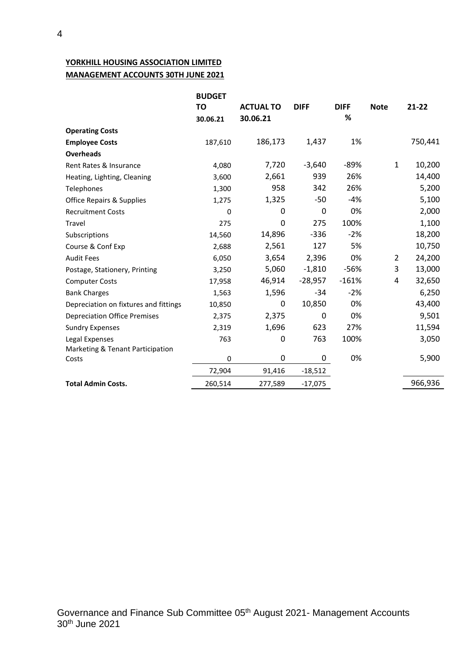# **YORKHILL HOUSING ASSOCIATION LIMITED MANAGEMENT ACCOUNTS 30TH JUNE 2021**

|                                       | <b>BUDGET</b> |                  |             |             |              |           |
|---------------------------------------|---------------|------------------|-------------|-------------|--------------|-----------|
|                                       | <b>TO</b>     | <b>ACTUAL TO</b> | <b>DIFF</b> | <b>DIFF</b> | <b>Note</b>  | $21 - 22$ |
|                                       | 30.06.21      | 30.06.21         |             | %           |              |           |
| <b>Operating Costs</b>                |               |                  |             |             |              |           |
| <b>Employee Costs</b>                 | 187,610       | 186,173          | 1,437       | 1%          |              | 750,441   |
| <b>Overheads</b>                      |               |                  |             |             |              |           |
| Rent Rates & Insurance                | 4,080         | 7,720            | $-3,640$    | $-89%$      | $\mathbf{1}$ | 10,200    |
| Heating, Lighting, Cleaning           | 3,600         | 2,661            | 939         | 26%         |              | 14,400    |
| Telephones                            | 1,300         | 958              | 342         | 26%         |              | 5,200     |
| <b>Office Repairs &amp; Supplies</b>  | 1,275         | 1,325            | $-50$       | $-4%$       |              | 5,100     |
| <b>Recruitment Costs</b>              | 0             | 0                | $\pmb{0}$   | 0%          |              | 2,000     |
| Travel                                | 275           | 0                | 275         | 100%        |              | 1,100     |
| Subscriptions                         | 14,560        | 14,896           | $-336$      | $-2%$       |              | 18,200    |
| Course & Conf Exp                     | 2,688         | 2,561            | 127         | 5%          |              | 10,750    |
| <b>Audit Fees</b>                     | 6,050         | 3,654            | 2,396       | 0%          | 2            | 24,200    |
| Postage, Stationery, Printing         | 3,250         | 5,060            | $-1,810$    | $-56%$      | 3            | 13,000    |
| <b>Computer Costs</b>                 | 17,958        | 46,914           | $-28,957$   | $-161%$     | 4            | 32,650    |
| <b>Bank Charges</b>                   | 1,563         | 1,596            | $-34$       | $-2%$       |              | 6,250     |
| Depreciation on fixtures and fittings | 10,850        | $\Omega$         | 10,850      | 0%          |              | 43,400    |
| <b>Depreciation Office Premises</b>   | 2,375         | 2,375            | 0           | 0%          |              | 9,501     |
| <b>Sundry Expenses</b>                | 2,319         | 1,696            | 623         | 27%         |              | 11,594    |
| Legal Expenses                        | 763           | 0                | 763         | 100%        |              | 3,050     |
| Marketing & Tenant Participation      |               |                  |             |             |              |           |
| Costs                                 | 0             | 0                | 0           | 0%          |              | 5,900     |
|                                       | 72,904        | 91,416           | $-18,512$   |             |              |           |
| <b>Total Admin Costs.</b>             | 260,514       | 277,589          | $-17,075$   |             |              | 966,936   |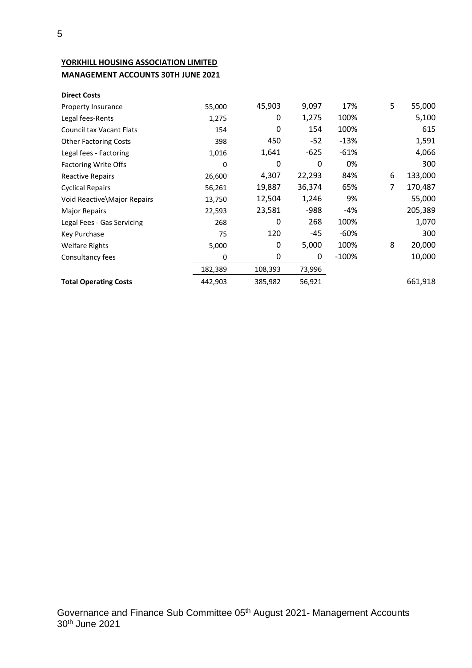# **YORKHILL HOUSING ASSOCIATION LIMITED MANAGEMENT ACCOUNTS 30TH JUNE 2021**

| <b>Direct Costs</b>             |         |         |        |         |   |         |
|---------------------------------|---------|---------|--------|---------|---|---------|
| Property Insurance              | 55,000  | 45,903  | 9,097  | 17%     | 5 | 55,000  |
| Legal fees-Rents                | 1,275   | 0       | 1,275  | 100%    |   | 5,100   |
| <b>Council tax Vacant Flats</b> | 154     | 0       | 154    | 100%    |   | 615     |
| <b>Other Factoring Costs</b>    | 398     | 450     | $-52$  | $-13%$  |   | 1,591   |
| Legal fees - Factoring          | 1,016   | 1,641   | $-625$ | $-61%$  |   | 4,066   |
| <b>Factoring Write Offs</b>     | 0       | 0       | 0      | 0%      |   | 300     |
| <b>Reactive Repairs</b>         | 26,600  | 4,307   | 22,293 | 84%     | 6 | 133,000 |
| <b>Cyclical Repairs</b>         | 56,261  | 19,887  | 36,374 | 65%     | 7 | 170,487 |
| Void Reactive\Major Repairs     | 13,750  | 12,504  | 1,246  | 9%      |   | 55,000  |
| <b>Major Repairs</b>            | 22,593  | 23,581  | $-988$ | -4%     |   | 205,389 |
| Legal Fees - Gas Servicing      | 268     | 0       | 268    | 100%    |   | 1,070   |
| Key Purchase                    | 75      | 120     | -45    | -60%    |   | 300     |
| <b>Welfare Rights</b>           | 5,000   | 0       | 5,000  | 100%    | 8 | 20,000  |
| Consultancy fees                | 0       | 0       | 0      | $-100%$ |   | 10,000  |
|                                 | 182,389 | 108,393 | 73,996 |         |   |         |
| <b>Total Operating Costs</b>    | 442,903 | 385,982 | 56,921 |         |   | 661,918 |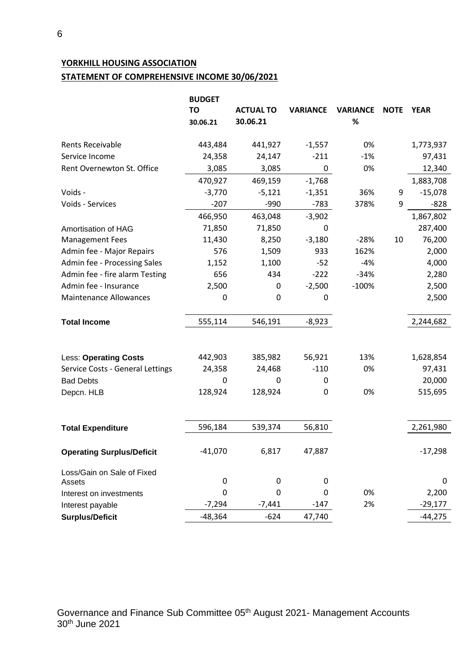# **YORKHILL HOUSING ASSOCIATION**

# **STATEMENT OF COMPREHENSIVE INCOME 30/06/2021**

|                                  | <b>BUDGET</b><br><b>TO</b> | <b>ACTUAL TO</b> | <b>VARIANCE</b> | <b>VARIANCE</b> | <b>NOTE</b> | <b>YEAR</b> |
|----------------------------------|----------------------------|------------------|-----------------|-----------------|-------------|-------------|
|                                  | 30.06.21                   | 30.06.21         |                 | $\%$            |             |             |
| <b>Rents Receivable</b>          | 443,484                    | 441,927          | $-1,557$        | 0%              |             | 1,773,937   |
| Service Income                   | 24,358                     | 24,147           | $-211$          | $-1%$           |             | 97,431      |
| Rent Overnewton St. Office       | 3,085                      | 3,085            | 0               | 0%              |             | 12,340      |
|                                  | 470,927                    | 469,159          | $-1,768$        |                 |             | 1,883,708   |
| Voids -                          | $-3,770$                   | $-5,121$         | $-1,351$        | 36%             | 9           | $-15,078$   |
| Voids - Services                 | $-207$                     | $-990$           | $-783$          | 378%            | 9           | $-828$      |
|                                  | 466,950                    | 463,048          | $-3,902$        |                 |             | 1,867,802   |
| Amortisation of HAG              | 71,850                     | 71,850           | 0               |                 |             | 287,400     |
| <b>Management Fees</b>           | 11,430                     | 8,250            | $-3,180$        | $-28%$          | 10          | 76,200      |
| Admin fee - Major Repairs        | 576                        | 1,509            | 933             | 162%            |             | 2,000       |
| Admin fee - Processing Sales     | 1,152                      | 1,100            | $-52$           | $-4%$           |             | 4,000       |
| Admin fee - fire alarm Testing   | 656                        | 434              | $-222$          | $-34%$          |             | 2,280       |
| Admin fee - Insurance            | 2,500                      | $\boldsymbol{0}$ | $-2,500$        | $-100%$         |             | 2,500       |
| <b>Maintenance Allowances</b>    | 0                          | $\mathbf 0$      | 0               |                 |             | 2,500       |
|                                  |                            |                  |                 |                 |             |             |
| <b>Total Income</b>              | 555,114                    | 546,191          | $-8,923$        |                 |             | 2,244,682   |
|                                  |                            |                  |                 |                 |             |             |
| <b>Less: Operating Costs</b>     | 442,903                    | 385,982          | 56,921          | 13%             |             | 1,628,854   |
| Service Costs - General Lettings | 24,358                     | 24,468           | $-110$          | 0%              |             | 97,431      |
| <b>Bad Debts</b>                 | 0                          | $\Omega$         | 0               |                 |             | 20,000      |
| Depcn. HLB                       | 128,924                    | 128,924          | 0               | 0%              |             | 515,695     |
|                                  |                            |                  |                 |                 |             |             |
| <b>Total Expenditure</b>         | 596,184                    | 539,374          | 56,810          |                 |             | 2,261,980   |
| <b>Operating Surplus/Deficit</b> | $-41,070$                  | 6,817            | 47,887          |                 |             | $-17,298$   |
| Loss/Gain on Sale of Fixed       |                            |                  |                 |                 |             |             |
| Assets                           | 0                          | $\mathbf 0$      | 0               |                 |             | 0           |
| Interest on investments          | $\boldsymbol{0}$           | $\boldsymbol{0}$ | 0               | 0%              |             | 2,200       |
| Interest payable                 | $-7,294$                   | $-7,441$         | $-147$          | 2%              |             | $-29,177$   |
| <b>Surplus/Deficit</b>           | $-48,364$                  | $-624$           | 47,740          |                 |             | $-44,275$   |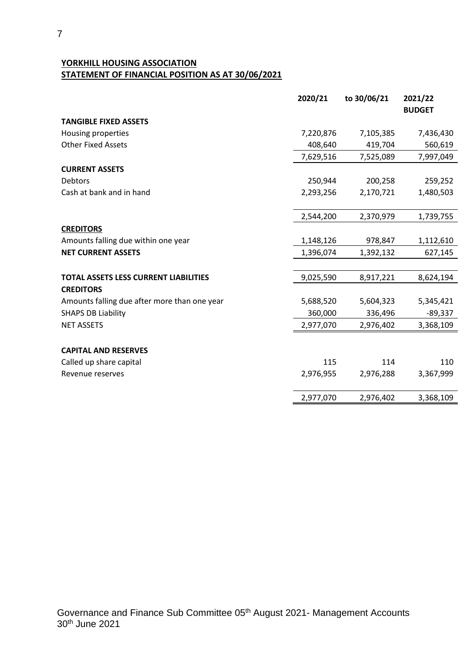# **YORKHILL HOUSING ASSOCIATION STATEMENT OF FINANCIAL POSITION AS AT 30/06/2021**

|                                              | 2020/21   | to 30/06/21 | 2021/22       |
|----------------------------------------------|-----------|-------------|---------------|
|                                              |           |             | <b>BUDGET</b> |
| <b>TANGIBLE FIXED ASSETS</b>                 |           |             |               |
| Housing properties                           | 7,220,876 | 7,105,385   | 7,436,430     |
| <b>Other Fixed Assets</b>                    | 408,640   | 419,704     | 560,619       |
|                                              | 7,629,516 | 7,525,089   | 7,997,049     |
| <b>CURRENT ASSETS</b>                        |           |             |               |
| Debtors                                      | 250,944   | 200,258     | 259,252       |
| Cash at bank and in hand                     | 2,293,256 | 2,170,721   | 1,480,503     |
|                                              | 2,544,200 | 2,370,979   | 1,739,755     |
| <b>CREDITORS</b>                             |           |             |               |
| Amounts falling due within one year          | 1,148,126 | 978,847     | 1,112,610     |
| <b>NET CURRENT ASSETS</b>                    | 1,396,074 | 1,392,132   | 627,145       |
| <b>TOTAL ASSETS LESS CURRENT LIABILITIES</b> | 9,025,590 | 8,917,221   | 8,624,194     |
| <b>CREDITORS</b>                             |           |             |               |
| Amounts falling due after more than one year | 5,688,520 | 5,604,323   | 5,345,421     |
| <b>SHAPS DB Liability</b>                    | 360,000   | 336,496     | $-89,337$     |
| <b>NET ASSETS</b>                            | 2,977,070 | 2,976,402   | 3,368,109     |
| <b>CAPITAL AND RESERVES</b>                  |           |             |               |
| Called up share capital                      | 115       | 114         | 110           |
| Revenue reserves                             | 2,976,955 | 2,976,288   | 3,367,999     |
|                                              | 2,977,070 | 2,976,402   | 3,368,109     |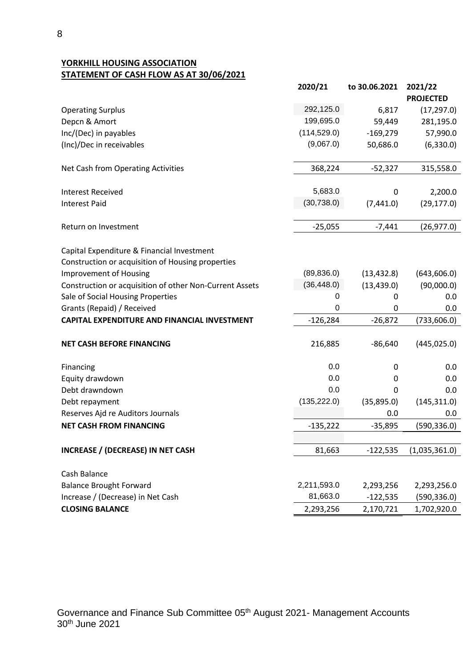**YORKHILL HOUSING ASSOCIATION STATEMENT OF CASH FLOW AS AT 30/06/2021**

|                                                                                                 | 2020/21      | to 30.06.2021 | 2021/22<br><b>PROJECTED</b> |
|-------------------------------------------------------------------------------------------------|--------------|---------------|-----------------------------|
| <b>Operating Surplus</b>                                                                        | 292,125.0    | 6,817         | (17, 297.0)                 |
| Depcn & Amort                                                                                   | 199,695.0    | 59,449        | 281,195.0                   |
| Inc/(Dec) in payables                                                                           | (114, 529.0) | $-169,279$    | 57,990.0                    |
| (Inc)/Dec in receivables                                                                        | (9,067.0)    | 50,686.0      | (6,330.0)                   |
| Net Cash from Operating Activities                                                              | 368,224      | $-52,327$     | 315,558.0                   |
| <b>Interest Received</b>                                                                        | 5,683.0      | 0             | 2,200.0                     |
| <b>Interest Paid</b>                                                                            | (30, 738.0)  | (7,441.0)     | (29, 177.0)                 |
| Return on Investment                                                                            | $-25,055$    | $-7,441$      | (26, 977.0)                 |
| Capital Expenditure & Financial Investment<br>Construction or acquisition of Housing properties |              |               |                             |
| <b>Improvement of Housing</b>                                                                   | (89, 836.0)  | (13, 432.8)   | (643, 606.0)                |
| Construction or acquisition of other Non-Current Assets                                         | (36, 448.0)  | (13, 439.0)   | (90,000.0)                  |
| Sale of Social Housing Properties                                                               | 0            | 0             | 0.0                         |
| Grants (Repaid) / Received                                                                      | $\Omega$     | 0             | 0.0                         |
| <b>CAPITAL EXPENDITURE AND FINANCIAL INVESTMENT</b>                                             | $-126,284$   | $-26,872$     | (733, 606.0)                |
| <b>NET CASH BEFORE FINANCING</b>                                                                | 216,885      | $-86,640$     | (445, 025.0)                |
| Financing                                                                                       | 0.0          | 0             | 0.0                         |
| Equity drawdown                                                                                 | 0.0          | 0             | 0.0                         |
| Debt drawndown                                                                                  | 0.0          | 0             | 0.0                         |
| Debt repayment                                                                                  | (135, 222.0) | (35,895.0)    | (145, 311.0)                |
| Reserves Ajd re Auditors Journals                                                               |              | 0.0           | 0.0                         |
| <b>NET CASH FROM FINANCING</b>                                                                  | $-135,222$   | $-35,895$     | (590, 336.0)                |
| <b>INCREASE / (DECREASE) IN NET CASH</b>                                                        | 81,663       | $-122,535$    | (1,035,361.0)               |
| Cash Balance                                                                                    |              |               |                             |
| <b>Balance Brought Forward</b>                                                                  | 2,211,593.0  | 2,293,256     | 2,293,256.0                 |
| Increase / (Decrease) in Net Cash                                                               | 81,663.0     | $-122,535$    | (590, 336.0)                |
| <b>CLOSING BALANCE</b>                                                                          | 2,293,256    | 2,170,721     | 1,702,920.0                 |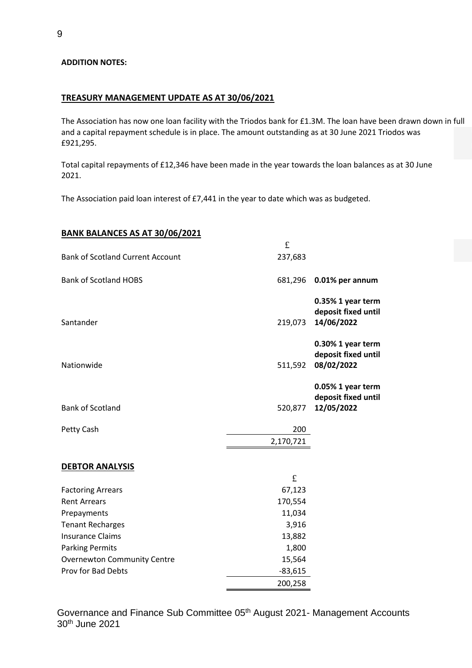#### **ADDITION NOTES:**

#### **TREASURY MANAGEMENT UPDATE AS AT 30/06/2021**

The Association has now one loan facility with the Triodos bank for £1.3M. The loan have been drawn down in full and a capital repayment schedule is in place. The amount outstanding as at 30 June 2021 Triodos was £921,295.

Total capital repayments of £12,346 have been made in the year towards the loan balances as at 30 June 2021.

The Association paid loan interest of £7,441 in the year to date which was as budgeted.

#### **BANK BALANCES AS AT 30/06/2021**

|                                         | $\mathbf f$ |                                                        |
|-----------------------------------------|-------------|--------------------------------------------------------|
| <b>Bank of Scotland Current Account</b> | 237,683     |                                                        |
| <b>Bank of Scotland HOBS</b>            | 681,296     | 0.01% per annum                                        |
| Santander                               | 219,073     | 0.35% 1 year term<br>deposit fixed until<br>14/06/2022 |
| Nationwide                              | 511,592     | 0.30% 1 year term<br>deposit fixed until<br>08/02/2022 |
| <b>Bank of Scotland</b>                 | 520,877     | 0.05% 1 year term<br>deposit fixed until<br>12/05/2022 |
| Petty Cash                              | 200         |                                                        |
|                                         | 2,170,721   |                                                        |
| <b>DEBTOR ANALYSIS</b>                  |             |                                                        |
|                                         | £           |                                                        |
| <b>Factoring Arrears</b>                | 67,123      |                                                        |
| <b>Rent Arrears</b>                     | 170,554     |                                                        |
| Prepayments                             | 11,034      |                                                        |
| <b>Tenant Recharges</b>                 | 3,916       |                                                        |
| <b>Insurance Claims</b>                 | 13,882      |                                                        |
| <b>Parking Permits</b>                  | 1,800       |                                                        |
| <b>Overnewton Community Centre</b>      | 15,564      |                                                        |
| Prov for Bad Debts                      | $-83,615$   |                                                        |
|                                         | 200,258     |                                                        |

Governance and Finance Sub Committee 05<sup>th</sup> August 2021- Management Accounts 30 th June 2021